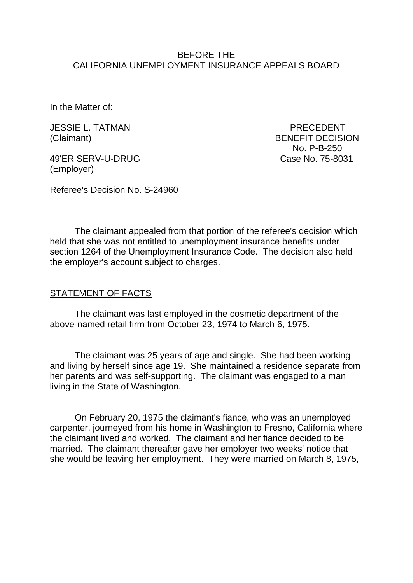#### BEFORE THE CALIFORNIA UNEMPLOYMENT INSURANCE APPEALS BOARD

In the Matter of:

JESSIE L. TATMAN PRECEDENT

49'ER SERV-U-DRUG Case No. 75-8031 (Employer)

(Claimant) BENEFIT DECISION No. P-B-250

Referee's Decision No. S-24960

The claimant appealed from that portion of the referee's decision which held that she was not entitled to unemployment insurance benefits under section 1264 of the Unemployment Insurance Code. The decision also held the employer's account subject to charges.

### STATEMENT OF FACTS

The claimant was last employed in the cosmetic department of the above-named retail firm from October 23, 1974 to March 6, 1975.

The claimant was 25 years of age and single. She had been working and living by herself since age 19. She maintained a residence separate from her parents and was self-supporting. The claimant was engaged to a man living in the State of Washington.

On February 20, 1975 the claimant's fiance, who was an unemployed carpenter, journeyed from his home in Washington to Fresno, California where the claimant lived and worked. The claimant and her fiance decided to be married. The claimant thereafter gave her employer two weeks' notice that she would be leaving her employment. They were married on March 8, 1975,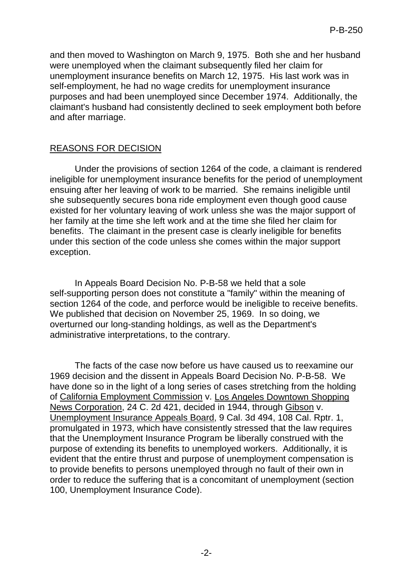and then moved to Washington on March 9, 1975. Both she and her husband were unemployed when the claimant subsequently filed her claim for unemployment insurance benefits on March 12, 1975. His last work was in self-employment, he had no wage credits for unemployment insurance purposes and had been unemployed since December 1974. Additionally, the claimant's husband had consistently declined to seek employment both before and after marriage.

# REASONS FOR DECISION

Under the provisions of section 1264 of the code, a claimant is rendered ineligible for unemployment insurance benefits for the period of unemployment ensuing after her leaving of work to be married. She remains ineligible until she subsequently secures bona ride employment even though good cause existed for her voluntary leaving of work unless she was the major support of her family at the time she left work and at the time she filed her claim for benefits. The claimant in the present case is clearly ineligible for benefits under this section of the code unless she comes within the major support exception.

In Appeals Board Decision No. P-B-58 we held that a sole self-supporting person does not constitute a "family" within the meaning of section 1264 of the code, and perforce would be ineligible to receive benefits. We published that decision on November 25, 1969. In so doing, we overturned our long-standing holdings, as well as the Department's administrative interpretations, to the contrary.

The facts of the case now before us have caused us to reexamine our 1969 decision and the dissent in Appeals Board Decision No. P-B-58. We have done so in the light of a long series of cases stretching from the holding of California Employment Commission v. Los Angeles Downtown Shopping News Corporation, 24 C. 2d 421, decided in 1944, through Gibson v. Unemployment Insurance Appeals Board, 9 Cal. 3d 494, 108 Cal. Rptr. 1, promulgated in 1973, which have consistently stressed that the law requires that the Unemployment Insurance Program be liberally construed with the purpose of extending its benefits to unemployed workers. Additionally, it is evident that the entire thrust and purpose of unemployment compensation is to provide benefits to persons unemployed through no fault of their own in order to reduce the suffering that is a concomitant of unemployment (section 100, Unemployment Insurance Code).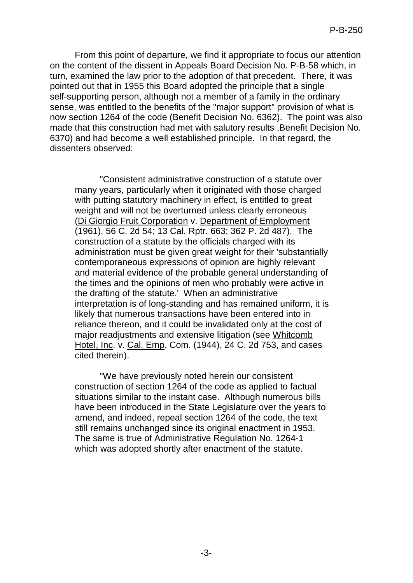From this point of departure, we find it appropriate to focus our attention on the content of the dissent in Appeals Board Decision No. P-B-58 which, in turn, examined the law prior to the adoption of that precedent. There, it was pointed out that in 1955 this Board adopted the principle that a single self-supporting person, although not a member of a family in the ordinary sense, was entitled to the benefits of the "major support" provision of what is now section 1264 of the code (Benefit Decision No. 6362). The point was also made that this construction had met with salutory results ,Benefit Decision No. 6370) and had become a well established principle. In that regard, the dissenters observed:

"Consistent administrative construction of a statute over many years, particularly when it originated with those charged with putting statutory machinery in effect, is entitled to great weight and will not be overturned unless clearly erroneous (Di Giorgio Fruit Corporation v. Department of Employment (1961), 56 C. 2d 54; 13 Cal. Rptr. 663; 362 P. 2d 487). The construction of a statute by the officials charged with its administration must be given great weight for their 'substantially contemporaneous expressions of opinion are highly relevant and material evidence of the probable general understanding of the times and the opinions of men who probably were active in the drafting of the statute.' When an administrative interpretation is of long-standing and has remained uniform, it is likely that numerous transactions have been entered into in reliance thereon, and it could be invalidated only at the cost of major readjustments and extensive litigation (see Whitcomb Hotel, Inc. v. Cal. Emp. Com. (1944), 24 C. 2d 753, and cases cited therein).

"We have previously noted herein our consistent construction of section 1264 of the code as applied to factual situations similar to the instant case. Although numerous bills have been introduced in the State Legislature over the years to amend, and indeed, repeal section 1264 of the code, the text still remains unchanged since its original enactment in 1953. The same is true of Administrative Regulation No. 1264-1 which was adopted shortly after enactment of the statute.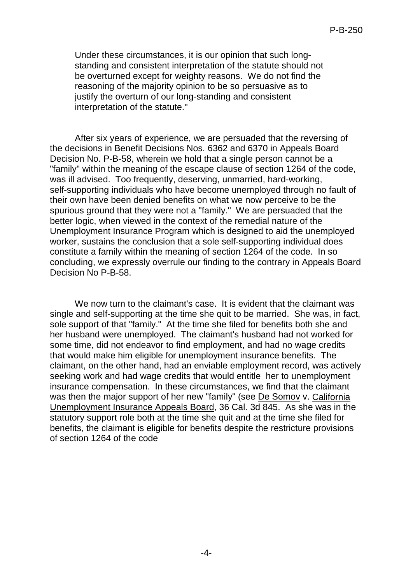Under these circumstances, it is our opinion that such longstanding and consistent interpretation of the statute should not be overturned except for weighty reasons. We do not find the reasoning of the majority opinion to be so persuasive as to justify the overturn of our long-standing and consistent interpretation of the statute."

After six years of experience, we are persuaded that the reversing of the decisions in Benefit Decisions Nos. 6362 and 6370 in Appeals Board Decision No. P-B-58, wherein we hold that a single person cannot be a "family" within the meaning of the escape clause of section 1264 of the code, was ill advised. Too frequently, deserving, unmarried, hard-working, self-supporting individuals who have become unemployed through no fault of their own have been denied benefits on what we now perceive to be the spurious ground that they were not a "family." We are persuaded that the better logic, when viewed in the context of the remedial nature of the Unemployment Insurance Program which is designed to aid the unemployed worker, sustains the conclusion that a sole self-supporting individual does constitute a family within the meaning of section 1264 of the code. In so concluding, we expressly overrule our finding to the contrary in Appeals Board Decision No P-B-58.

We now turn to the claimant's case. It is evident that the claimant was single and self-supporting at the time she quit to be married. She was, in fact, sole support of that "family." At the time she filed for benefits both she and her husband were unemployed. The claimant's husband had not worked for some time, did not endeavor to find employment, and had no wage credits that would make him eligible for unemployment insurance benefits. The claimant, on the other hand, had an enviable employment record, was actively seeking work and had wage credits that would entitle her to unemployment insurance compensation. In these circumstances, we find that the claimant was then the major support of her new "family" (see De Somov v. California Unemployment Insurance Appeals Board, 36 Cal. 3d 845. As she was in the statutory support role both at the time she quit and at the time she filed for benefits, the claimant is eligible for benefits despite the restricture provisions of section 1264 of the code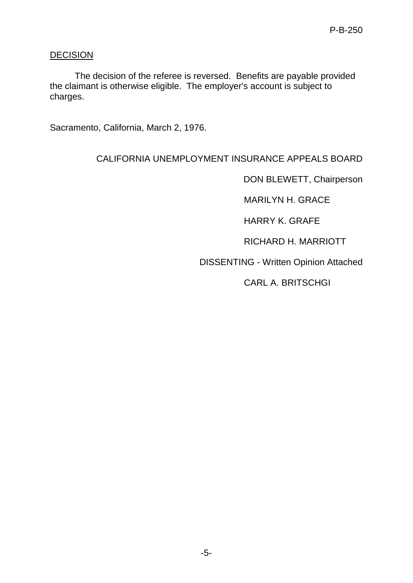## **DECISION**

The decision of the referee is reversed. Benefits are payable provided the claimant is otherwise eligible. The employer's account is subject to charges.

Sacramento, California, March 2, 1976.

## CALIFORNIA UNEMPLOYMENT INSURANCE APPEALS BOARD

DON BLEWETT, Chairperson

MARILYN H. GRACE

HARRY K. GRAFE

RICHARD H. MARRIOTT

DISSENTING - Written Opinion Attached

CARL A. BRITSCHGI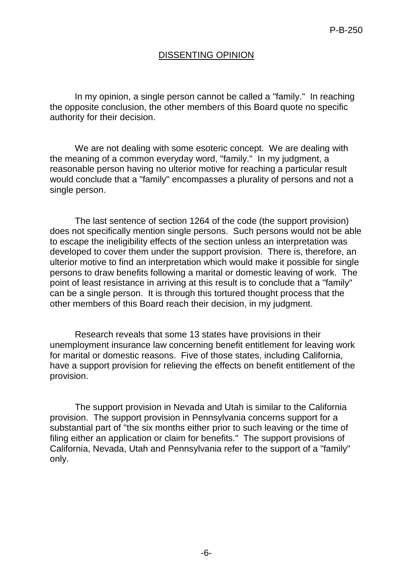### DISSENTING OPINION

In my opinion, a single person cannot be called a "family." In reaching the opposite conclusion, the other members of this Board quote no specific authority for their decision.

We are not dealing with some esoteric concept. We are dealing with the meaning of a common everyday word, "family." In my judgment, a reasonable person having no ulterior motive for reaching a particular result would conclude that a "family" encompasses a plurality of persons and not a single person.

The last sentence of section 1264 of the code (the support provision) does not specifically mention single persons. Such persons would not be able to escape the ineligibility effects of the section unless an interpretation was developed to cover them under the support provision. There is, therefore, an ulterior motive to find an interpretation which would make it possible for single persons to draw benefits following a marital or domestic leaving of work. The point of least resistance in arriving at this result is to conclude that a "family" can be a single person. It is through this tortured thought process that the other members of this Board reach their decision, in my judgment.

Research reveals that some 13 states have provisions in their unemployment insurance law concerning benefit entitlement for leaving work for marital or domestic reasons. Five of those states, including California, have a support provision for relieving the effects on benefit entitlement of the provision.

The support provision in Nevada and Utah is similar to the California provision. The support provision in Pennsylvania concerns support for a substantial part of "the six months either prior to such leaving or the time of filing either an application or claim for benefits." The support provisions of California, Nevada, Utah and Pennsylvania refer to the support of a "family" only.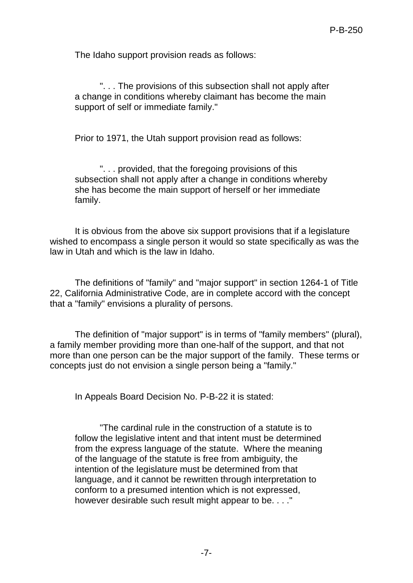The Idaho support provision reads as follows:

". . . The provisions of this subsection shall not apply after a change in conditions whereby claimant has become the main support of self or immediate family."

Prior to 1971, the Utah support provision read as follows:

". . . provided, that the foregoing provisions of this subsection shall not apply after a change in conditions whereby she has become the main support of herself or her immediate family.

It is obvious from the above six support provisions that if a legislature wished to encompass a single person it would so state specifically as was the law in Utah and which is the law in Idaho.

The definitions of "family" and "major support" in section 1264-1 of Title 22, California Administrative Code, are in complete accord with the concept that a "family" envisions a plurality of persons.

The definition of "major support" is in terms of "family members" (plural), a family member providing more than one-half of the support, and that not more than one person can be the major support of the family. These terms or concepts just do not envision a single person being a "family."

In Appeals Board Decision No. P-B-22 it is stated:

"The cardinal rule in the construction of a statute is to follow the legislative intent and that intent must be determined from the express language of the statute. Where the meaning of the language of the statute is free from ambiguity, the intention of the legislature must be determined from that language, and it cannot be rewritten through interpretation to conform to a presumed intention which is not expressed, however desirable such result might appear to be. . . ."